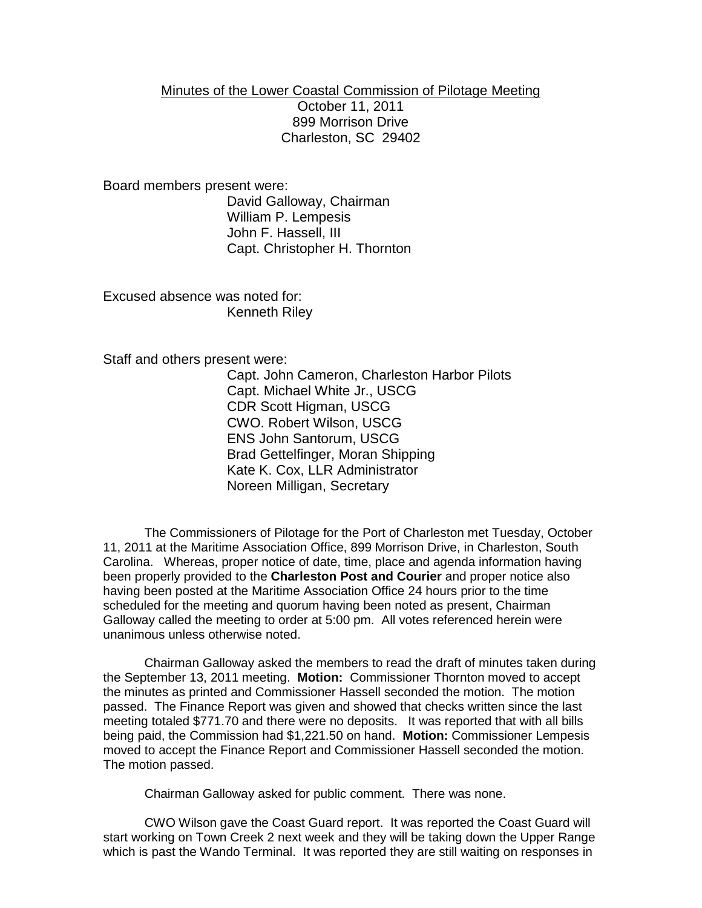## Minutes of the Lower Coastal Commission of Pilotage Meeting October 11, 2011 899 Morrison Drive Charleston, SC 29402

Board members present were:

David Galloway, Chairman William P. Lempesis John F. Hassell, III Capt. Christopher H. Thornton

Excused absence was noted for: Kenneth Riley

Staff and others present were:

Capt. John Cameron, Charleston Harbor Pilots Capt. Michael White Jr., USCG CDR Scott Higman, USCG CWO. Robert Wilson, USCG ENS John Santorum, USCG Brad Gettelfinger, Moran Shipping Kate K. Cox, LLR Administrator Noreen Milligan, Secretary

The Commissioners of Pilotage for the Port of Charleston met Tuesday, October 11, 2011 at the Maritime Association Office, 899 Morrison Drive, in Charleston, South Carolina. Whereas, proper notice of date, time, place and agenda information having been properly provided to the **Charleston Post and Courier** and proper notice also having been posted at the Maritime Association Office 24 hours prior to the time scheduled for the meeting and quorum having been noted as present, Chairman Galloway called the meeting to order at 5:00 pm. All votes referenced herein were unanimous unless otherwise noted.

Chairman Galloway asked the members to read the draft of minutes taken during the September 13, 2011 meeting. **Motion:** Commissioner Thornton moved to accept the minutes as printed and Commissioner Hassell seconded the motion. The motion passed. The Finance Report was given and showed that checks written since the last meeting totaled \$771.70 and there were no deposits. It was reported that with all bills being paid, the Commission had \$1,221.50 on hand. **Motion:** Commissioner Lempesis moved to accept the Finance Report and Commissioner Hassell seconded the motion. The motion passed.

Chairman Galloway asked for public comment. There was none.

CWO Wilson gave the Coast Guard report. It was reported the Coast Guard will start working on Town Creek 2 next week and they will be taking down the Upper Range which is past the Wando Terminal. It was reported they are still waiting on responses in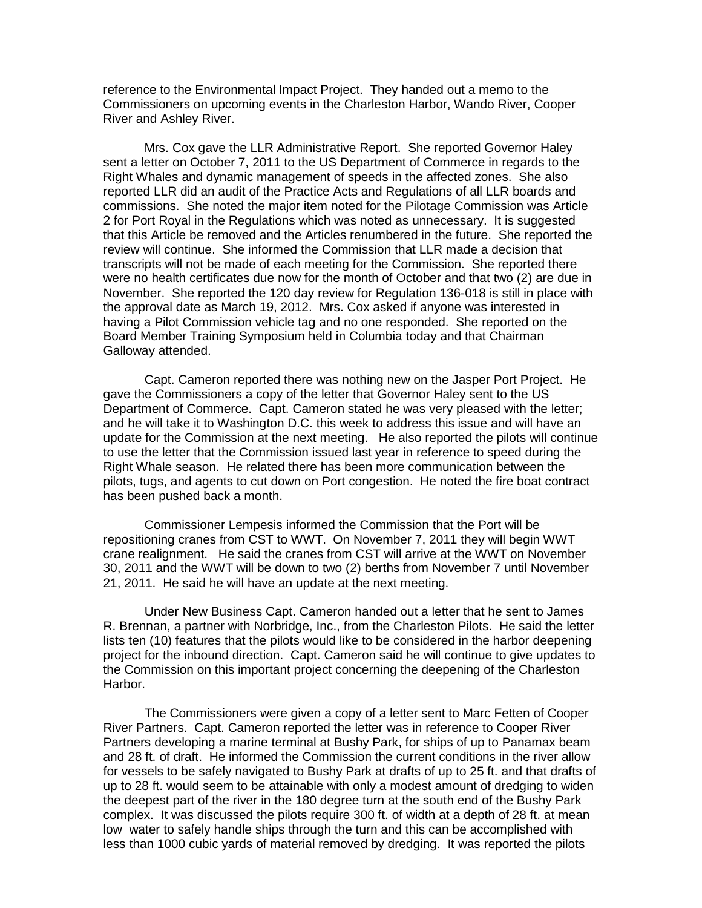reference to the Environmental Impact Project. They handed out a memo to the Commissioners on upcoming events in the Charleston Harbor, Wando River, Cooper River and Ashley River.

Mrs. Cox gave the LLR Administrative Report. She reported Governor Haley sent a letter on October 7, 2011 to the US Department of Commerce in regards to the Right Whales and dynamic management of speeds in the affected zones. She also reported LLR did an audit of the Practice Acts and Regulations of all LLR boards and commissions. She noted the major item noted for the Pilotage Commission was Article 2 for Port Royal in the Regulations which was noted as unnecessary. It is suggested that this Article be removed and the Articles renumbered in the future. She reported the review will continue. She informed the Commission that LLR made a decision that transcripts will not be made of each meeting for the Commission. She reported there were no health certificates due now for the month of October and that two (2) are due in November. She reported the 120 day review for Regulation 136-018 is still in place with the approval date as March 19, 2012. Mrs. Cox asked if anyone was interested in having a Pilot Commission vehicle tag and no one responded. She reported on the Board Member Training Symposium held in Columbia today and that Chairman Galloway attended.

Capt. Cameron reported there was nothing new on the Jasper Port Project. He gave the Commissioners a copy of the letter that Governor Haley sent to the US Department of Commerce. Capt. Cameron stated he was very pleased with the letter; and he will take it to Washington D.C. this week to address this issue and will have an update for the Commission at the next meeting. He also reported the pilots will continue to use the letter that the Commission issued last year in reference to speed during the Right Whale season. He related there has been more communication between the pilots, tugs, and agents to cut down on Port congestion. He noted the fire boat contract has been pushed back a month.

Commissioner Lempesis informed the Commission that the Port will be repositioning cranes from CST to WWT. On November 7, 2011 they will begin WWT crane realignment. He said the cranes from CST will arrive at the WWT on November 30, 2011 and the WWT will be down to two (2) berths from November 7 until November 21, 2011. He said he will have an update at the next meeting.

Under New Business Capt. Cameron handed out a letter that he sent to James R. Brennan, a partner with Norbridge, Inc., from the Charleston Pilots. He said the letter lists ten (10) features that the pilots would like to be considered in the harbor deepening project for the inbound direction. Capt. Cameron said he will continue to give updates to the Commission on this important project concerning the deepening of the Charleston Harbor.

The Commissioners were given a copy of a letter sent to Marc Fetten of Cooper River Partners. Capt. Cameron reported the letter was in reference to Cooper River Partners developing a marine terminal at Bushy Park, for ships of up to Panamax beam and 28 ft. of draft. He informed the Commission the current conditions in the river allow for vessels to be safely navigated to Bushy Park at drafts of up to 25 ft. and that drafts of up to 28 ft. would seem to be attainable with only a modest amount of dredging to widen the deepest part of the river in the 180 degree turn at the south end of the Bushy Park complex. It was discussed the pilots require 300 ft. of width at a depth of 28 ft. at mean low water to safely handle ships through the turn and this can be accomplished with less than 1000 cubic yards of material removed by dredging. It was reported the pilots